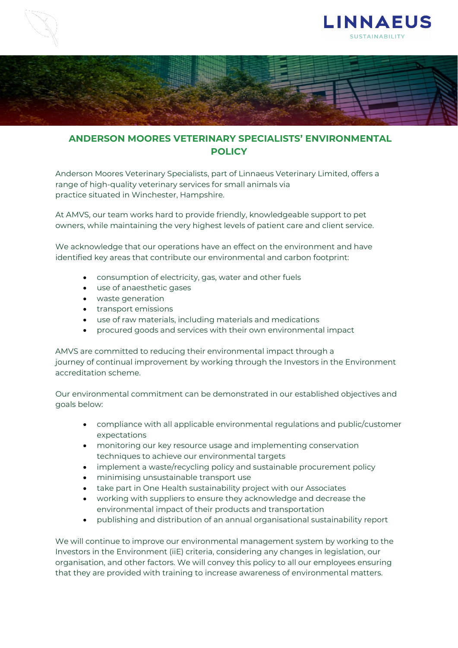



## **ANDERSON MOORES VETERINARY SPECIALISTS' ENVIRONMENTAL POLICY**

Anderson Moores Veterinary Specialists, part of Linnaeus Veterinary Limited, offers a range of high-quality veterinary services for small animals via practice situated in Winchester, Hampshire.

At AMVS, our team works hard to provide friendly, knowledgeable support to pet owners, while maintaining the very highest levels of patient care and client service.

We acknowledge that our operations have an effect on the environment and have identified key areas that contribute our environmental and carbon footprint:

- consumption of electricity, gas, water and other fuels
- use of anaesthetic gases
- waste generation
- transport emissions
- use of raw materials, including materials and medications
- procured goods and services with their own environmental impact

AMVS are committed to reducing their environmental impact through a journey of continual improvement by working through the Investors in the Environment accreditation scheme.

Our environmental commitment can be demonstrated in our established objectives and goals below:

- compliance with all applicable environmental regulations and public/customer expectations
- monitoring our key resource usage and implementing conservation techniques to achieve our environmental targets
- implement a waste/recycling policy and sustainable procurement policy
- minimising unsustainable transport use
- take part in One Health sustainability project with our Associates
- working with suppliers to ensure they acknowledge and decrease the environmental impact of their products and transportation
- publishing and distribution of an annual organisational sustainability report

We will continue to improve our environmental management system by working to the Investors in the Environment (iiE) criteria, considering any changes in legislation, our organisation, and other factors. We will convey this policy to all our employees ensuring that they are provided with training to increase awareness of environmental matters.